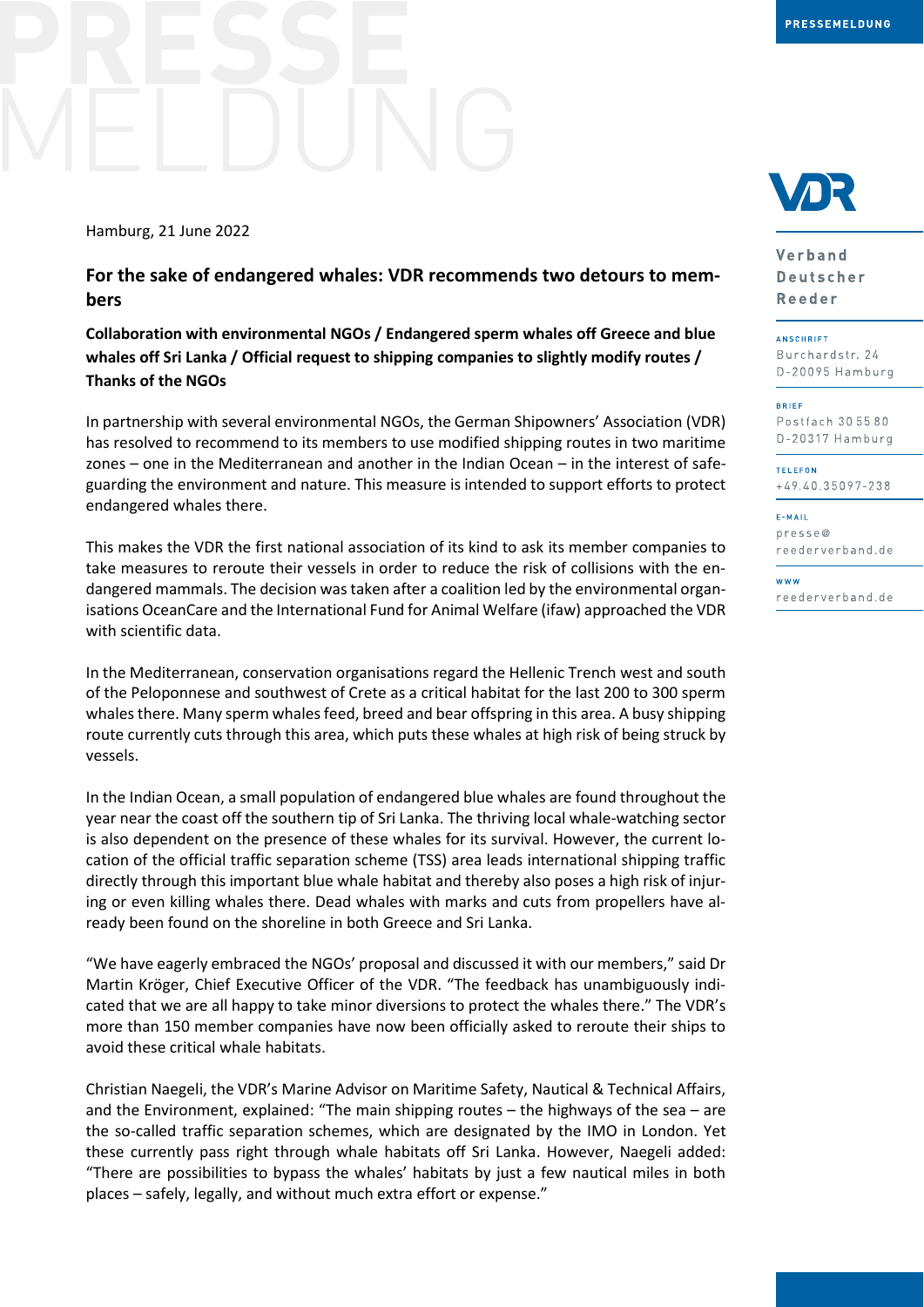Hamburg, 21 June 2022

**For the sake of endangered whales: VDR recommends two detours to members**

**Collaboration with environmental NGOs / Endangered sperm whales off Greece and blue whales off Sri Lanka / Official request to shipping companies to slightly modify routes / Thanks of the NGOs**

In partnership with several environmental NGOs, the German Shipowners' Association (VDR) has resolved to recommend to its members to use modified shipping routes in two maritime zones – one in the Mediterranean and another in the Indian Ocean – in the interest of safeguarding the environment and nature. This measure is intended to support efforts to protect endangered whales there.

This makes the VDR the first national association of its kind to ask its member companies to take measures to reroute their vessels in order to reduce the risk of collisions with the endangered mammals. The decision was taken after a coalition led by the environmental organisations OceanCare and the International Fund for Animal Welfare (ifaw) approached the VDR with scientific data.

In the Mediterranean, conservation organisations regard the Hellenic Trench west and south of the Peloponnese and southwest of Crete as a critical habitat for the last 200 to 300 sperm whales there. Many sperm whales feed, breed and bear offspring in this area. A busy shipping route currently cuts through this area, which puts these whales at high risk of being struck by vessels.

In the Indian Ocean, a small population of endangered blue whales are found throughout the year near the coast off the southern tip of Sri Lanka. The thriving local whale-watching sector is also dependent on the presence of these whales for its survival. However, the current location of the official traffic separation scheme (TSS) area leads international shipping traffic directly through this important blue whale habitat and thereby also poses a high risk of injuring or even killing whales there. Dead whales with marks and cuts from propellers have already been found on the shoreline in both Greece and Sri Lanka.

"We have eagerly embraced the NGOs' proposal and discussed it with our members," said Dr Martin Kröger, Chief Executive Officer of the VDR. "The feedback has unambiguously indicated that we are all happy to take minor diversions to protect the whales there." The VDR's more than 150 member companies have now been officially asked to reroute their ships to avoid these critical whale habitats.

Christian Naegeli, the VDR's Marine Advisor on Maritime Safety, Nautical & Technical Affairs, and the Environment, explained: "The main shipping routes – the highways of the sea – are the so-called traffic separation schemes, which are designated by the IMO in London. Yet these currently pass right through whale habitats off Sri Lanka. However, Naegeli added: "There are possibilities to bypass the whales' habitats by just a few nautical miles in both places – safely, legally, and without much extra effort or expense."



Verband Deutscher Reeder

**ANSCHRIFT** Burchardstr. 24 D-20095 Hamburg

BRIFF Postfach 30 55 80

D-20317 Hamburg **TELEFON** 

+49.40.35097-238

E-MAIL  $presee@$ reederverband.de

w w w reederverband.de